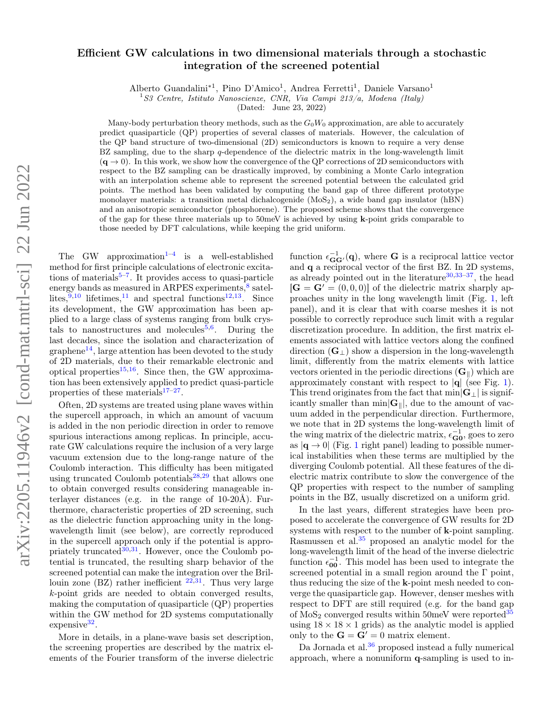# Efficient GW calculations in two dimensional materials through a stochastic integration of the screened potential

Alberto Guandalini<sup>\*1</sup>, Pino D'Amico<sup>1</sup>, Andrea Ferretti<sup>1</sup>, Daniele Varsano<sup>1</sup>

<sup>1</sup>S3 Centre, Istituto Nanoscienze, CNR, Via Campi 213/a, Modena (Italy)

(Dated: June 23, 2022)

Many-body perturbation theory methods, such as the  $G_0W_0$  approximation, are able to accurately predict quasiparticle (QP) properties of several classes of materials. However, the calculation of the QP band structure of two-dimensional (2D) semiconductors is known to require a very dense BZ sampling, due to the sharp  $q$ -dependence of the dielectric matrix in the long-wavelength limit  $(q \rightarrow 0)$ . In this work, we show how the convergence of the QP corrections of 2D semiconductors with respect to the BZ sampling can be drastically improved, by combining a Monte Carlo integration with an interpolation scheme able to represent the screened potential between the calculated grid points. The method has been validated by computing the band gap of three different prototype monolayer materials: a transition metal dichalcogenide  $(MoS<sub>2</sub>)$ , a wide band gap insulator (hBN) and an anisotropic semiconductor (phosphorene). The proposed scheme shows that the convergence of the gap for these three materials up to 50meV is achieved by using k-point grids comparable to those needed by DFT calculations, while keeping the grid uniform.

The GW approximation<sup>[1](#page-7-0)-4</sup> is a well-established method for first principle calculations of electronic excitations of materials $5-7$  $5-7$ . It provides access to quasi-particle energy bands as measured in ARPES experiments,<sup>[8](#page-8-3)</sup> satellites, $9,10$  $9,10$  lifetimes, $11$  and spectral functions $12,13$  $12,13$ . Since its development, the GW approximation has been applied to a large class of systems ranging from bulk crys-tals to nanostructures and molecules<sup>[5,](#page-8-1)[6](#page-8-9)</sup>. During the last decades, since the isolation and characterization of  $graphene<sup>14</sup>$  $graphene<sup>14</sup>$  $graphene<sup>14</sup>$ , large attention has been devoted to the study of 2D materials, due to their remarkable electronic and optical properties $15,16$  $15,16$ . Since then, the GW approximation has been extensively applied to predict quasi-particle properties of these materials $17-27$  $17-27$ .

Often, 2D systems are treated using plane waves within the supercell approach, in which an amount of vacuum is added in the non periodic direction in order to remove spurious interactions among replicas. In principle, accurate GW calculations require the inclusion of a very large vacuum extension due to the long-range nature of the Coulomb interaction. This difficulty has been mitigated using truncated Coulomb potentials<sup>[28,](#page-8-15)[29](#page-8-16)</sup> that allows one to obtain converged results considering manageable interlayer distances (e.g. in the range of 10-20Å). Furthermore, characteristic properties of 2D screening, such as the dielectric function approaching unity in the longwavelength limit (see below), are correctly reproduced in the supercell approach only if the potential is appropriately truncated $30,31$  $30,31$ . However, once the Coulomb potential is truncated, the resulting sharp behavior of the screened potential can make the integration over the Brillouin zone  $(BZ)$  rather inefficient  $22,31$  $22,31$ . Thus very large k-point grids are needed to obtain converged results, making the computation of quasiparticle (QP) properties within the GW method for 2D systems computationally expensive<sup>[32](#page-8-20)</sup>.

More in details, in a plane-wave basis set description, the screening properties are described by the matrix elements of the Fourier transform of the inverse dielectric

function  $\epsilon_{\mathbf{G}\mathbf{G}'}^{-1}(\mathbf{q})$ , where **G** is a reciprocal lattice vector and q a reciprocal vector of the first BZ. In 2D systems, as already pointed out in the literature<sup>[30,](#page-8-17)33-[37](#page-8-22)</sup>, the head  $[\mathbf{G} = \mathbf{G}' = (0, 0, 0)]$  of the dielectric matrix sharply approaches unity in the long wavelength limit (Fig. [1,](#page-1-0) left panel), and it is clear that with coarse meshes it is not possible to correctly reproduce such limit with a regular discretization procedure. In addition, the first matrix elements associated with lattice vectors along the confined direction  $(G_{\perp})$  show a dispersion in the long-wavelength limit, differently from the matrix elements with lattice vectors oriented in the periodic directions  $(G_{\parallel})$  which are approximately constant with respect to  $|\mathbf{q}|$  (see Fig. [1\)](#page-1-0). This trend originates from the fact that  $\min|\mathbf{G}_\perp|$  is significantly smaller than  $\min|\mathbf{G}_{\parallel}|$ , due to the amount of vacuum added in the perpendicular direction. Furthermore, we note that in 2D systems the long-wavelength limit of the wing matrix of the dielectric matrix,  $\epsilon_{\mathbf{G0}}^{-1}$ , goes to zero as  $|\mathbf{q} \rightarrow 0|$  (Fig. [1](#page-1-0) right panel) leading to possible numerical instabilities when these terms are multiplied by the diverging Coulomb potential. All these features of the dielectric matrix contribute to slow the convergence of the QP properties with respect to the number of sampling points in the BZ, usually discretized on a uniform grid.

In the last years, different strategies have been proposed to accelerate the convergence of GW results for 2D systems with respect to the number of **k**-point sampling. Rasmussen et al.<sup>[35](#page-8-23)</sup> proposed an analytic model for the long-wavelength limit of the head of the inverse dielectric function  $\epsilon_{00}^{-1}$ . This model has been used to integrate the screened potential in a small region around the Γ point, thus reducing the size of the k-point mesh needed to converge the quasiparticle gap. However, denser meshes with respect to DFT are still required (e.g. for the band gap of  $MoS<sub>2</sub>$  converged results within 50meV were reported  $35$ using  $18 \times 18 \times 1$  grids) as the analytic model is applied only to the  $\mathbf{G} = \mathbf{G}' = 0$  matrix element.

Da Jornada et al.<sup>[36](#page-8-24)</sup> proposed instead a fully numerical approach, where a nonuniform q-sampling is used to in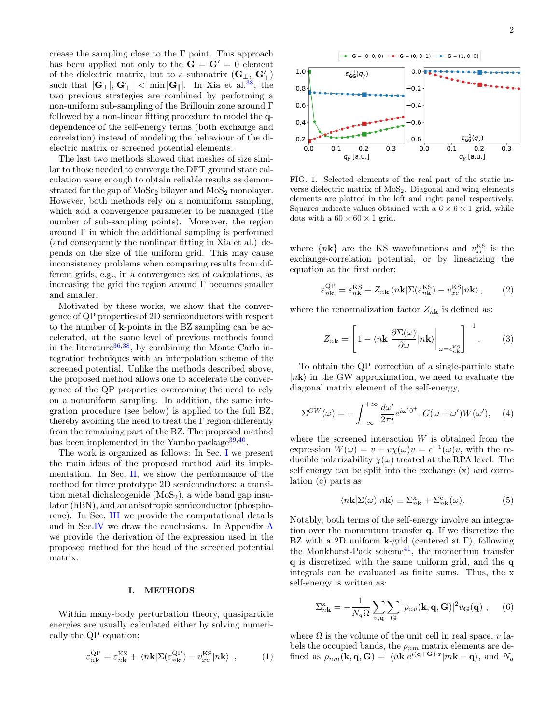crease the sampling close to the Γ point. This approach has been applied not only to the  $G = G' = 0$  element of the dielectric matrix, but to a submatrix  $(\mathbf{G}_{\perp}, \mathbf{G}'_{\perp})$  $\text{such that } |\mathbf{G}_{\perp}|, |\mathbf{G}'_{\perp}| < \min |\mathbf{G}_{\parallel}|. \ \text{ In } \text{Xia et al.}^{38}, \text{ the }$  $\text{such that } |\mathbf{G}_{\perp}|, |\mathbf{G}'_{\perp}| < \min |\mathbf{G}_{\parallel}|. \ \text{ In } \text{Xia et al.}^{38}, \text{ the }$  $\text{such that } |\mathbf{G}_{\perp}|, |\mathbf{G}'_{\perp}| < \min |\mathbf{G}_{\parallel}|. \ \text{ In } \text{Xia et al.}^{38}, \text{ the }$ two previous strategies are combined by performing a non-uniform sub-sampling of the Brillouin zone around Γ followed by a non-linear fitting procedure to model the qdependence of the self-energy terms (both exchange and correlation) instead of modeling the behaviour of the dielectric matrix or screened potential elements.

The last two methods showed that meshes of size similar to those needed to converge the DFT ground state calculation were enough to obtain reliable results as demonstrated for the gap of  $MoSe<sub>2</sub>$  bilayer and  $MoS<sub>2</sub>$  monolayer. However, both methods rely on a nonuniform sampling, which add a convergence parameter to be managed (the number of sub-sampling points). Moreover, the region around  $\Gamma$  in which the additional sampling is performed (and consequently the nonlinear fitting in Xia et al.) depends on the size of the uniform grid. This may cause inconsistency problems when comparing results from different grids, e.g., in a convergence set of calculations, as increasing the grid the region around  $\Gamma$  becomes smaller and smaller.

Motivated by these works, we show that the convergence of QP properties of 2D semiconductors with respect to the number of k-points in the BZ sampling can be accelerated, at the same level of previous methods found in the literature  $36,38$  $36,38$ , by combining the Monte Carlo integration techniques with an interpolation scheme of the screened potential. Unlike the methods described above, the proposed method allows one to accelerate the convergence of the QP properties overcoming the need to rely on a nonuniform sampling. In addition, the same integration procedure (see below) is applied to the full BZ, thereby avoiding the need to treat the  $\Gamma$  region differently from the remaining part of the BZ. The proposed method has been implemented in the Yambo package<sup>[39](#page-8-26)[,40](#page-8-27)</sup>.

The work is organized as follows: In Sec. [I](#page-1-1) we present the main ideas of the proposed method and its implementation. In Sec. [II,](#page-4-0) we show the performance of the method for three prototype 2D semiconductors: a transition metal dichalcogenide  $(MoS<sub>2</sub>)$ , a wide band gap insulator (hBN), and an anisotropic semiconductor (phosphorene). In Sec. [III](#page-5-0) we provide the computational details and in Sec[.IV](#page-6-0) we draw the conclusions. In Appendix [A](#page-7-1) we provide the derivation of the expression used in the proposed method for the head of the screened potential matrix.

#### <span id="page-1-1"></span>I. METHODS

Within many-body perturbation theory, quasiparticle energies are usually calculated either by solving numerically the QP equation:

$$
\varepsilon_{n\mathbf{k}}^{\text{QP}} = \varepsilon_{n\mathbf{k}}^{\text{KS}} + \langle n\mathbf{k} | \Sigma(\varepsilon_{n\mathbf{k}}^{\text{QP}}) - v_{xc}^{\text{KS}} | n\mathbf{k} \rangle , \qquad (1)
$$



<span id="page-1-0"></span>FIG. 1. Selected elements of the real part of the static inverse dielectric matrix of  $MoS<sub>2</sub>$ . Diagonal and wing elements elements are plotted in the left and right panel respectively. Squares indicate values obtained with a  $6 \times 6 \times 1$  grid, while dots with a  $60 \times 60 \times 1$  grid.

where  $\{n\mathbf{k}\}\$ are the KS wavefunctions and  $v_{xc}^{\text{KS}}$  is the exchange-correlation potential, or by linearizing the equation at the first order:

$$
\varepsilon_{n\mathbf{k}}^{\text{QP}} = \varepsilon_{n\mathbf{k}}^{\text{KS}} + Z_{n\mathbf{k}} \langle n\mathbf{k} | \Sigma(\varepsilon_{n\mathbf{k}}^{\text{KS}}) - v_{xc}^{\text{KS}} | n\mathbf{k} \rangle, \qquad (2)
$$

where the renormalization factor  $Z_{n\mathbf{k}}$  is defined as:

$$
Z_{n\mathbf{k}} = \left[1 - \langle n\mathbf{k}|\frac{\partial \Sigma(\omega)}{\partial \omega}|n\mathbf{k}\rangle\bigg|_{\omega = \epsilon_{n\mathbf{k}}^{\text{KS}}}\right]^{-1}.
$$
 (3)

To obtain the QP correction of a single-particle state  $|n\mathbf{k}\rangle$  in the GW approximation, we need to evaluate the diagonal matrix element of the self-energy,

$$
\Sigma^{GW}(\omega) = -\int_{-\infty}^{+\infty} \frac{d\omega'}{2\pi i} e^{i\omega'0^+}, G(\omega + \omega')W(\omega'), \quad (4)
$$

where the screened interaction  $W$  is obtained from the expression  $W(\omega) = v + v\chi(\omega)v = \epsilon^{-1}(\omega)v$ , with the reducible polarizability  $\chi(\omega)$  treated at the RPA level. The self energy can be split into the exchange (x) and correlation (c) parts as

$$
\langle n\mathbf{k}|\Sigma(\omega)|n\mathbf{k}\rangle \equiv \Sigma_{n\mathbf{k}}^{\mathbf{x}} + \Sigma_{n\mathbf{k}}^{\mathbf{c}}(\omega). \tag{5}
$$

Notably, both terms of the self-energy involve an integration over the momentum transfer q. If we discretize the BZ with a 2D uniform **k**-grid (centered at  $\Gamma$ ), following the Monkhorst-Pack scheme<sup>[41](#page-8-28)</sup>, the momentum transfer q is discretized with the same uniform grid, and the q integrals can be evaluated as finite sums. Thus, the x self-energy is written as:

<span id="page-1-2"></span>
$$
\Sigma_{n\mathbf{k}}^{x} = -\frac{1}{N_{q}\Omega} \sum_{v,\mathbf{q}} \sum_{\mathbf{G}} |\rho_{nv}(\mathbf{k}, \mathbf{q}, \mathbf{G})|^{2} v_{\mathbf{G}}(\mathbf{q}) ,\qquad (6)
$$

where  $\Omega$  is the volume of the unit cell in real space, v labels the occupied bands, the  $\rho_{nm}$  matrix elements are defined as  $\rho_{nm}(\mathbf{k}, \mathbf{q}, \mathbf{G}) = \langle n\mathbf{k}|e^{i(\mathbf{q}+\mathbf{G})\cdot\mathbf{r}}|m\mathbf{k} - \mathbf{q}\rangle$ , and  $N_q$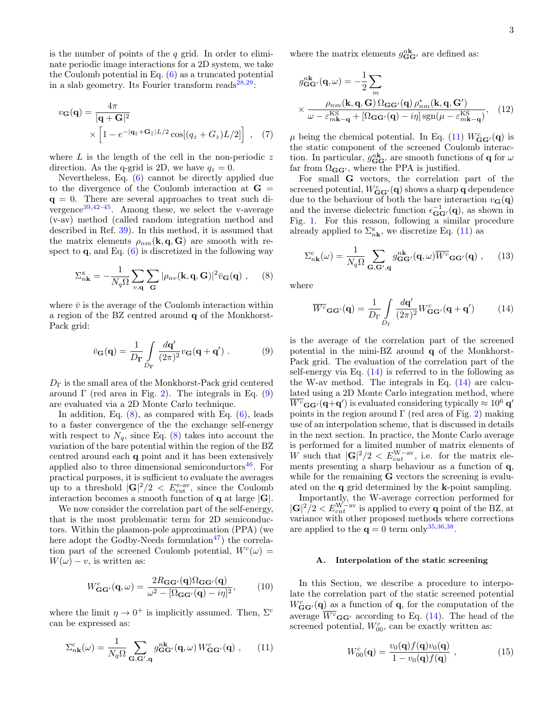is the number of points of the  $q$  grid. In order to eliminate periodic image interactions for a 2D system, we take the Coulomb potential in Eq. [\(6\)](#page-1-2) as a truncated potential in a slab geometry. Its Fourier transform reads $^{28,29}$  $^{28,29}$  $^{28,29}$  $^{28,29}$ :

$$
v_{\mathbf{G}}(\mathbf{q}) = \frac{4\pi}{|\mathbf{q} + \mathbf{G}|^2} \times \left[1 - e^{-|\mathbf{q}|| + \mathbf{G}||L/2} \cos[(q_z + G_z)L/2]\right], \quad (7)
$$

where  $L$  is the length of the cell in the non-periodic  $z$ direction. As the q-grid is 2D, we have  $q_z = 0$ .

Nevertheless, Eq. [\(6\)](#page-1-2) cannot be directly applied due to the divergence of the Coulomb interaction at  $G =$  $q = 0$ . There are several approaches to treat such divergence $39,42-45$  $39,42-45$  $39,42-45$ . Among these, we select the v-average (v-av) method (called random integration method and described in Ref. [39\)](#page-8-26). In this method, it is assumed that the matrix elements  $\rho_{nm}(\mathbf{k}, \mathbf{q}, \mathbf{G})$  are smooth with respect to  $\mathbf{q}$ , and Eq. [\(6\)](#page-1-2) is discretized in the following way

<span id="page-2-1"></span>
$$
\Sigma_{n\mathbf{k}}^{x} = -\frac{1}{N_q \Omega} \sum_{v,\mathbf{q}} \sum_{\mathbf{G}} |\rho_{nv}(\mathbf{k}, \mathbf{q}, \mathbf{G})|^2 \bar{v}_{\mathbf{G}}(\mathbf{q}), \quad (8)
$$

where  $\bar{v}$  is the average of the Coulomb interaction within a region of the BZ centred around q of the Monkhorst-Pack grid:

<span id="page-2-0"></span>
$$
\bar{v}_{\mathbf{G}}(\mathbf{q}) = \frac{1}{D_{\mathbf{\Gamma}}} \int\limits_{D_{\mathbf{\Gamma}}} \frac{d\mathbf{q}'}{(2\pi)^2} v_{\mathbf{G}}(\mathbf{q} + \mathbf{q}') . \tag{9}
$$

 $D_{\Gamma}$  is the small area of the Monkhorst-Pack grid centered around  $\Gamma$  (red area in Fig. [2\)](#page-3-0). The integrals in Eq. [\(9\)](#page-2-0) are evaluated via a 2D Monte Carlo technique.

In addition, Eq.  $(8)$ , as compared with Eq.  $(6)$ , leads to a faster convergence of the the exchange self-energy with respect to  $N_q$ , since Eq. [\(8\)](#page-2-1) takes into account the variation of the bare potential within the region of the BZ centred around each q point and it has been extensively applied also to three dimensional semiconductors $46$ . For practical purposes, it is sufficient to evaluate the averages up to a threshold  $|\mathbf{G}|^2/2 \, < E_{\text{cut}}^{\text{v-av}}$ , since the Coulomb interaction becomes a smooth function of  $q$  at large  $|G|$ .

We now consider the correlation part of the self-energy, that is the most problematic term for 2D semiconductors. Within the plasmon-pole approximation (PPA) (we here adopt the Godby-Needs formulation<sup>[47](#page-8-32)</sup>) the correlation part of the screened Coulomb potential,  $W<sup>c</sup>(\omega)$  =  $W(\omega) - v$ , is written as:

<span id="page-2-6"></span>
$$
W_{\mathbf{G}\mathbf{G}'}^{c}(\mathbf{q},\omega) = \frac{2R_{\mathbf{G}\mathbf{G}'}(\mathbf{q})\Omega_{\mathbf{G}\mathbf{G}'}(\mathbf{q})}{\omega^{2} - [\Omega_{\mathbf{G}\mathbf{G}'}(\mathbf{q}) - i\eta]^{2}},
$$
(10)

where the limit  $\eta \to 0^+$  is implicitly assumed. Then,  $\Sigma^c$ can be expressed as:

<span id="page-2-2"></span>
$$
\Sigma_{n\mathbf{k}}^{c}(\omega) = \frac{1}{N_{q}\Omega} \sum_{\mathbf{G},\mathbf{G}',\mathbf{q}} g_{\mathbf{G}\mathbf{G}'}^{n\mathbf{k}}(\mathbf{q},\omega) W_{\mathbf{G}\mathbf{G}'}^{c}(\mathbf{q}) , \qquad (11)
$$

where the matrix elements  $g_{\mathbf{G}\mathbf{G}'}^{n\mathbf{k}}$  are defined as:

$$
g_{\mathbf{G}\mathbf{G}'}^{\mathbf{nk}}(\mathbf{q},\omega) = -\frac{1}{2} \sum_{m}
$$
  
 
$$
\times \frac{\rho_{nm}(\mathbf{k}, \mathbf{q}, \mathbf{G}) \Omega_{\mathbf{G}\mathbf{G}'}(\mathbf{q}) \rho_{nm}^*(\mathbf{k}, \mathbf{q}, \mathbf{G}')}{\omega - \varepsilon_{m\mathbf{k}-\mathbf{q}}^{\text{KS}} + \left[\Omega_{\mathbf{G}\mathbf{G}'}(\mathbf{q}) - i\eta\right] \text{sgn}(\mu - \varepsilon_{m\mathbf{k}-\mathbf{q}}^{\text{KS}})}, \quad (12)
$$

<span id="page-2-5"></span> $\mu$  being the chemical potential. In Eq. [\(11\)](#page-2-2)  $W_{\mathbf{G}\mathbf{G}'}^c(\mathbf{q})$  is the static component of the screened Coulomb interaction. In particular,  $g_{\mathbf{G}\mathbf{G}'}^{\mathbf{nk}}$  are smooth functions of **q** for  $\omega$ far from  $\Omega_{\mathbf{G}\mathbf{G}'}$ , where the PPA is justified.

For small G vectors, the correlation part of the screened potential,  $W_{\mathbf{G}\mathbf{G}'}^c(\mathbf{q})$  shows a sharp  $\mathbf{q}$  dependence due to the behaviour of both the bare interaction  $v_{\mathbf{G}}(\mathbf{q})$ and the inverse dielectric function  $\epsilon_{\mathbf{G}\mathbf{G}'}^{-1}(\mathbf{q})$ , as shown in Fig. [1.](#page-1-0) For this reason, following a similar procedure already applied to  $\Sigma_{n\mathbf{k}}^{\mathbf{x}}$ , we discretize Eq. [\(11\)](#page-2-2) as

$$
\Sigma_{n\mathbf{k}}^{c}(\omega) = \frac{1}{N_{q}\Omega} \sum_{\mathbf{G},\mathbf{G}',\mathbf{q}} g_{\mathbf{G}\mathbf{G}'}^{n\mathbf{k}}(\mathbf{q},\omega) \overline{W^{c}}_{\mathbf{G}\mathbf{G}'}(\mathbf{q}) ,\qquad(13)
$$

where

<span id="page-2-3"></span>
$$
\overline{W^c}_{\mathbf{G}\mathbf{G}'}(\mathbf{q}) = \frac{1}{D_{\Gamma}} \int_{D_{\Gamma}} \frac{d\mathbf{q}'}{(2\pi)^2} W^c_{\mathbf{G}\mathbf{G}'}(\mathbf{q} + \mathbf{q}') \tag{14}
$$

is the average of the correlation part of the screened potential in the mini-BZ around q of the Monkhorst-Pack grid. The evaluation of the correlation part of the self-energy via Eq.  $(14)$  is referred to in the following as the W-av method. The integrals in Eq. [\(14\)](#page-2-3) are calculated using a 2D Monte Carlo integration method, where  $\overline{W^c}_{\mathbf{G}\mathbf{G}'}(\mathbf{q+q}')$  is evaluated considering typically  $\approx 10^6\,\mathbf{q}'$ points in the region around  $\Gamma$  (red area of Fig. [2\)](#page-3-0) making use of an interpolation scheme, that is discussed in details in the next section. In practice, the Monte Carlo average is performed for a limited number of matrix elements of W such that  $|\mathbf{G}|^2/2 < E_{cut}^{W-av}$ , i.e. for the matrix elements presenting a sharp behaviour as a function of q, while for the remaining **G** vectors the screening is evaluated on the q grid determined by the k-point sampling.

Importantly, the W-average correction performed for  $|\mathbf{G}|^2/2 < E_{cut}^{W-av}$  is applied to every **q** point of the BZ, at variance with other proposed methods where corrections are applied to the  $\mathbf{q} = 0$  term only<sup>[35,](#page-8-23)[36](#page-8-24)[,38](#page-8-25)</sup>.

#### A. Interpolation of the static screening

In this Section, we describe a procedure to interpolate the correlation part of the static screened potential  $W_{\mathbf{G}\mathbf{G}'}^c(\mathbf{q})$  as a function of  $\mathbf{q}$ , for the computation of the average  $W^c$ <sub>GG'</sub> according to Eq. [\(14\)](#page-2-3). The head of the screened potential,  $W_{00}^c$ , can be exactly written as:

<span id="page-2-4"></span>
$$
W_{00}^c(\mathbf{q}) = \frac{v_0(\mathbf{q})f(\mathbf{q})v_0(\mathbf{q})}{1 - v_0(\mathbf{q})f(\mathbf{q})} , \qquad (15)
$$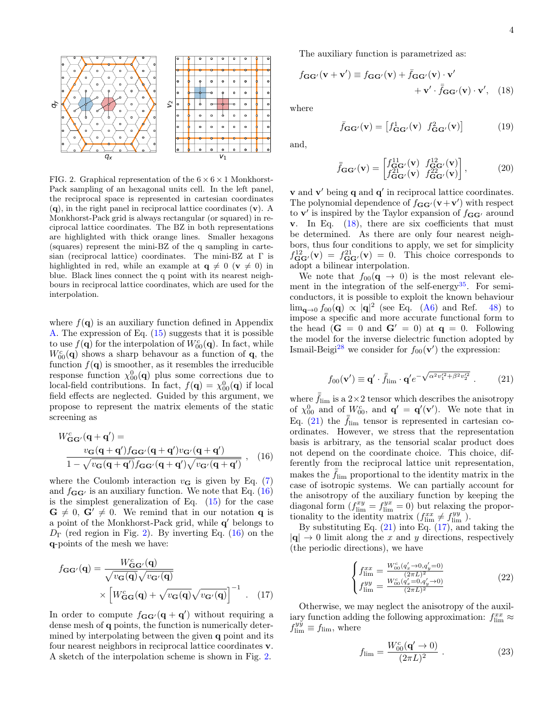

<span id="page-3-0"></span>FIG. 2. Graphical representation of the  $6 \times 6 \times 1$  Monkhorst-Pack sampling of an hexagonal units cell. In the left panel, the reciprocal space is represented in cartesian coordinates  $(q)$ , in the right panel in reciprocal lattice coordinates  $(v)$ . A Monkhorst-Pack grid is always rectangular (or squared) in reciprocal lattice coordinates. The BZ in both representations are highlighted with thick orange lines. Smaller hexagons (squares) represent the mini-BZ of the q sampling in cartesian (reciprocal lattice) coordinates. The mini-BZ at Γ is highlighted in red, while an example at  $q \neq 0$  ( $v \neq 0$ ) in blue. Black lines connect the q point with its nearest neighbours in reciprocal lattice coordinates, which are used for the interpolation.

where  $f(\mathbf{q})$  is an auxiliary function defined in Appendix [A.](#page-7-1) The expression of Eq. [\(15\)](#page-2-4) suggests that it is possible to use  $f(\mathbf{q})$  for the interpolation of  $W_{00}^c(\mathbf{q})$ . In fact, while  $W_{00}^{c}(\mathbf{q})$  shows a sharp behavour as a function of  $\mathbf{q}$ , the function  $f(\mathbf{q})$  is smoother, as it resembles the irreducible response function  $\chi_{00}^0(\mathbf{q})$  plus some corrections due to local-field contributions. In fact,  $f(\mathbf{q}) = \chi_{00}^0(\mathbf{q})$  if local field effects are neglected. Guided by this argument, we propose to represent the matrix elements of the static screening as

$$
W_{\mathbf{G}\mathbf{G}'}^c(\mathbf{q}+\mathbf{q}') =
$$
  

$$
\frac{v_{\mathbf{G}}(\mathbf{q}+\mathbf{q}')f_{\mathbf{G}\mathbf{G}'}(\mathbf{q}+\mathbf{q}')v_{\mathbf{G}'}(\mathbf{q}+\mathbf{q}')}{1-\sqrt{v_{\mathbf{G}}(\mathbf{q}+\mathbf{q}')f_{\mathbf{G}\mathbf{G}'}(\mathbf{q}+\mathbf{q}')\sqrt{v_{\mathbf{G}'}(\mathbf{q}+\mathbf{q}')}}},
$$
 (16)

where the Coulomb interaction  $v_{\mathbf{G}}$  is given by Eq. [\(7\)](#page-2-5) and  $f_{GG'}$  is an auxiliary function. We note that Eq. [\(16\)](#page-3-1) is the simplest generalization of Eq.  $(15)$  for the case  $G \neq 0$ ,  $G' \neq 0$ . We remind that in our notation q is a point of the Monkhorst-Pack grid, while  $q'$  belongs to  $D_{\Gamma}$  (red region in Fig. [2\)](#page-3-0). By inverting Eq. [\(16\)](#page-3-1) on the q-points of the mesh we have:

$$
f_{\mathbf{G}\mathbf{G}'}(\mathbf{q}) = \frac{W_{\mathbf{G}\mathbf{G}'}^c(\mathbf{q})}{\sqrt{v_{\mathbf{G}}(\mathbf{q})}\sqrt{v_{\mathbf{G}'}(\mathbf{q})}} \times \left[W_{\mathbf{G}\mathbf{G}}^c(\mathbf{q}) + \sqrt{v_{\mathbf{G}}(\mathbf{q})}\sqrt{v_{\mathbf{G}'}(\mathbf{q})}\right]^{-1} . \quad (17)
$$

In order to compute  $f_{GG'}(q + q')$  without requiring a dense mesh of q points, the function is numerically determined by interpolating between the given q point and its four nearest neighbors in reciprocal lattice coordinates v. A sketch of the interpolation scheme is shown in Fig. [2.](#page-3-0)

The auxiliary function is parametrized as:

$$
f_{\mathbf{G}\mathbf{G}'}(\mathbf{v} + \mathbf{v}') \equiv f_{\mathbf{G}\mathbf{G}'}(\mathbf{v}) + \bar{f}_{\mathbf{G}\mathbf{G}'}(\mathbf{v}) \cdot \mathbf{v}'
$$

$$
+ \mathbf{v}' \cdot \bar{f}_{\mathbf{G}\mathbf{G}'}(\mathbf{v}) \cdot \mathbf{v}', \quad (18)
$$

where

<span id="page-3-2"></span>
$$
\bar{f}_{\mathbf{G}\mathbf{G}'}(\mathbf{v}) = \begin{bmatrix} f_{\mathbf{G}\mathbf{G}'}^1(\mathbf{v}) & f_{\mathbf{G}\mathbf{G}'}^2(\mathbf{v}) \end{bmatrix} \tag{19}
$$

and,

$$
\bar{\bar{f}}_{\mathbf{G}\mathbf{G}'}(\mathbf{v}) = \begin{bmatrix} f_{\mathbf{G}\mathbf{G}'}^{11}(\mathbf{v}) & f_{\mathbf{G}\mathbf{G}'}^{12}(\mathbf{v}) \\ f_{\mathbf{G}\mathbf{G}'}^{21}(\mathbf{v}) & f_{\mathbf{G}\mathbf{G}'}^{22}(\mathbf{v}) \end{bmatrix},\tag{20}
$$

**v** and **v**' being **q** and **q**' in reciprocal lattice coordinates. The polynomial dependence of  $f_{\mathbf{G}\mathbf{G}'}(\mathbf{v}+\mathbf{v}')$  with respect to **v'** is inspired by the Taylor expansion of  $f_{GG'}$  around v. In Eq. [\(18\)](#page-3-2), there are six coefficients that must be determined. As there are only four nearest neighbors, thus four conditions to apply, we set for simplicity  $f_{\mathbf{G}\mathbf{G}'}^{12}(\mathbf{v}) = f_{\mathbf{G}\mathbf{G}'}^{21}(\mathbf{v}) = 0$ . This choice corresponds to adopt a bilinear interpolation.

We note that  $f_{00}(\mathbf{q} \to 0)$  is the most relevant ele-ment in the integration of the self-energy<sup>[35](#page-8-23)</sup>. For semiconductors, it is possible to exploit the known behaviour  $\lim_{\mathbf{q}\to 0} f_{00}(\mathbf{q}) \propto |\mathbf{q}|^2$  (see Eq. [\(A6\)](#page-7-2) and Ref. [48\)](#page-8-33) to impose a specific and more accurate functional form to the head  $(\mathbf{G} = 0 \text{ and } \mathbf{G}' = 0)$  at  $\mathbf{q} = 0$ . Following the model for the inverse dielectric function adopted by Ismail-Beigi<sup>[28](#page-8-15)</sup> we consider for  $f_{00}(\mathbf{v}')$  the expression:

<span id="page-3-3"></span>
$$
f_{00}(\mathbf{v}') \equiv \mathbf{q}' \cdot \bar{\bar{f}}_{\text{lim}} \cdot \mathbf{q}' e^{-\sqrt{\alpha^2 v_1'^2 + \beta^2 v_2'^2}} . \tag{21}
$$

<span id="page-3-1"></span>where  $\bar{f}_{\text{lim}}$  is a 2×2 tensor which describes the anisotropy of  $\chi_{00}^0$  and of  $W_{00}^c$ , and  $\mathbf{q}' = \mathbf{q}'(\mathbf{v}')$ . We note that in Eq. [\(21\)](#page-3-3) the  $f_{\text{lim}}$  tensor is represented in cartesian coordinates. However, we stress that the representation basis is arbitrary, as the tensorial scalar product does not depend on the coordinate choice. This choice, differently from the reciprocal lattice unit representation, makes the  $f_{\text{lim}}$  proportional to the identity matrix in the case of isotropic systems. We can partially account for the anisotropy of the auxiliary function by keeping the diagonal form  $(f_{\text{lim}}^{xy} = f_{\text{lim}}^{yx} = 0)$  but relaxing the proportionality to the identity matrix  $(f_{\text{lim}}^{xx} \neq f_{\text{lim}}^{yy})$ .

By substituting Eq.  $(21)$  into Eq.  $(17)$ , and taking the  $|{\bf q}| \rightarrow 0$  limit along the x and y directions, respectively (the periodic directions), we have

<span id="page-3-6"></span>
$$
\begin{cases}\nf_{\text{lim}}^{xx} = \frac{W_{00}^c (q_x^{\prime} \to 0, q_y^{\prime} = 0)}{(2\pi L)^2} \\
f_{\text{lim}}^{yy} = \frac{W_{00}^c (q_x^{\prime} = 0, q_y^{\prime} \to 0)}{(2\pi L)^2}\n\end{cases} \tag{22}
$$

<span id="page-3-4"></span>Otherwise, we may neglect the anisotropy of the auxiliary function adding the following approximation:  $f_{\text{lim}}^{xx} \approx$  $f_{\text{lim}}^{y\tilde{y}} \equiv f_{\text{lim}}$ , where

<span id="page-3-5"></span>
$$
f_{\rm lim} = \frac{W_{00}^{c}(\mathbf{q}' \to 0)}{(2\pi L)^{2}} . \tag{23}
$$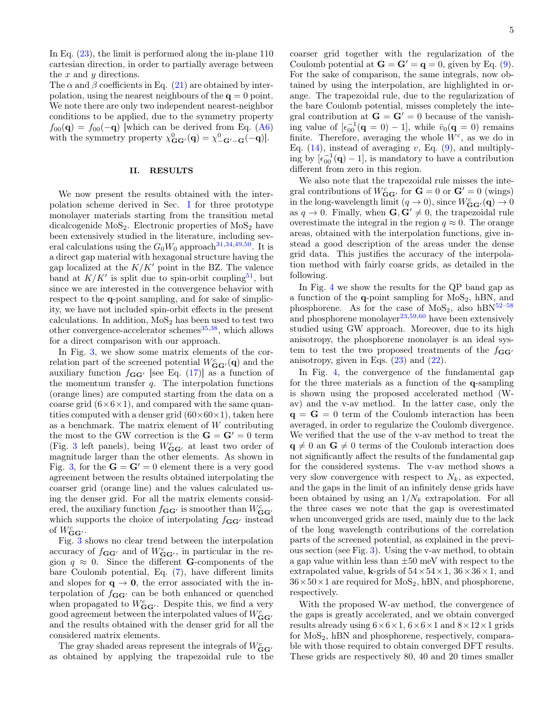In Eq. [\(23\)](#page-3-5), the limit is performed along the in-plane 110 cartesian direction, in order to partially average between the  $x$  and  $y$  directions.

The  $\alpha$  and  $\beta$  coefficients in Eq. [\(21\)](#page-3-3) are obtained by interpolation, using the nearest neighbours of the  $q = 0$  point. We note there are only two independent nearest-neighbor conditions to be applied, due to the symmetry property  $f_{00}(\mathbf{q}) = f_{00}(-\mathbf{q})$  which can be derived from Eq. [\(A6\)](#page-7-2) with the symmetry property  $\chi^0_{\mathbf{G}\mathbf{G}'}(\mathbf{q}) = \chi^0_{-\mathbf{G}'-\mathbf{G}}(-\mathbf{q})$ .

### <span id="page-4-0"></span>II. RESULTS

We now present the results obtained with the interpolation scheme derived in Sec. [I](#page-1-1) for three prototype monolayer materials starting from the transition metal dicalcogenide  $MoS<sub>2</sub>$ . Electronic properties of  $MoS<sub>2</sub>$  have been extensively studied in the literature, including several calculations using the  $G_0W_0$  approach<sup>[31,](#page-8-18)[34](#page-8-34)[,49,](#page-8-35)[50](#page-8-36)</sup>. It is a direct gap material with hexagonal structure having the gap localized at the  $K/K'$  point in the BZ. The valence band at  $K/K'$  is split due to spin-orbit coupling<sup>[51](#page-8-37)</sup>, but since we are interested in the convergence behavior with respect to the q-point sampling, and for sake of simplicity, we have not included spin-orbit effects in the present calculations. In addition,  $MoS<sub>2</sub>$  has been used to test two other convergence-accelerator schemes $^{35,38}$  $^{35,38}$  $^{35,38}$  $^{35,38}$ , which allows for a direct comparison with our approach.

In Fig. [3,](#page-5-1) we show some matrix elements of the correlation part of the screened potential  $W_{\mathbf{G}\mathbf{G}'}^c(\mathbf{q})$  and the auxiliary function  $f_{\mathbf{G}\mathbf{G}'}$  [see Eq. [\(17\)](#page-3-4)] as a function of the momentum transfer  $q$ . The interpolation functions (orange lines) are computed starting from the data on a coarse grid  $(6\times6\times1)$ , and compared with the same quantities computed with a denser grid  $(60\times60\times1)$ , taken here as a benchmark. The matrix element of  $W$  contributing the most to the GW correction is the  $G = G' = 0$  term (Fig. [3](#page-5-1) left panels), being  $W_{\mathbf{G}\mathbf{G}'}^c$  at least two order of magnitude larger than the other elements. As shown in Fig. [3,](#page-5-1) for the  $G = G' = 0$  element there is a very good agreement between the results obtained interpolating the coarser grid (orange line) and the values calculated using the denser grid. For all the matrix elements considered, the auxiliary function  $f_{\mathbf{G}\mathbf{G}'}$  is smoother than  $W_{\mathbf{G}\mathbf{G}'}^c$ which supports the choice of interpolating  $f_{GG'}$  instead of  $W_{\mathbf{G}\mathbf{G}'}^c$ .

Fig. [3](#page-5-1) shows no clear trend between the interpolation accuracy of  $f_{\mathbf{G}\mathbf{G}'}$  and of  $W_{\mathbf{G}\mathbf{G}'}^c$ , in particular in the region  $q \approx 0$ . Since the different **G**-components of the bare Coulomb potential, Eq. [\(7\)](#page-2-5), have different limits and slopes for  $q \rightarrow 0$ , the error associated with the interpolation of  $f_{GG'}$  can be both enhanced or quenched when propagated to  $W_{\mathbf{G}\mathbf{G}'}^c$ . Despite this, we find a very good agreement between the interpolated values of  $W_{\mathbf{G}\mathbf{G}'}^c$ and the results obtained with the denser grid for all the considered matrix elements.

The gray shaded areas represent the integrals of  $W^c_{\mathbf{G}\mathbf{G}'}$ as obtained by applying the trapezoidal rule to the coarser grid together with the regularization of the Coulomb potential at  $\mathbf{G} = \mathbf{G}' = \mathbf{q} = 0$ , given by Eq. [\(9\)](#page-2-0). For the sake of comparison, the same integrals, now obtained by using the interpolation, are highlighted in orange. The trapezoidal rule, due to the regularization of the bare Coulomb potential, misses completely the integral contribution at  $G = G' = 0$  because of the vanishing value of  $\left[\epsilon_{00}^{-1}(\mathbf{q}=0)-1\right]$ , while  $\bar{v}_0(\mathbf{q}=0)$  remains finite. Therefore, averaging the whole  $W^c$ , as we do in Eq.  $(14)$ , instead of averaging v, Eq.  $(9)$ , and multiplying by  $\left[\epsilon_{00}^{-1}(\mathbf{q})-1\right]$ , is mandatory to have a contribution different from zero in this region.

We also note that the trapezoidal rule misses the integral contributions of  $W_{\mathbf{G}\mathbf{G}'}^c$  for  $\mathbf{G} = 0$  or  $\mathbf{G}' = 0$  (wings) in the long-wavelength limit  $(q \to 0)$ , since  $W_{\mathbf{G}\mathbf{G}'}^c(\mathbf{q}) \to 0$ as  $q \to 0$ . Finally, when  $\mathbf{G}, \mathbf{G}' \neq 0$ , the trapezoidal rule overestimate the integral in the region  $q \approx 0$ . The orange areas, obtained with the interpolation functions, give instead a good description of the areas under the dense grid data. This justifies the accuracy of the interpolation method with fairly coarse grids, as detailed in the following.

In Fig. [4](#page-6-1) we show the results for the QP band gap as a function of the  $q$ -point sampling for  $MoS<sub>2</sub>$ , hBN, and phosphorene. As for the case of  $MoS<sub>2</sub>$ , also  $hBN<sup>52-58</sup>$  $hBN<sup>52-58</sup>$  $hBN<sup>52-58</sup>$ and phosphorene monolayer<sup>[23](#page-8-38)[,59,](#page-9-2)[60](#page-9-3)</sup> have been extensively studied using GW approach. Moreover, due to its high anisotropy, the phosphorene monolayer is an ideal system to test the two proposed treatments of the  $f_{GG'}$ anisotropy, given in Eqs.  $(23)$  and  $(22)$ .

In Fig. [4,](#page-6-1) the convergence of the fundamental gap for the three materials as a function of the q-sampling is shown using the proposed accelerated method (Wav) and the v-av method. In the latter case, only the  $q = G = 0$  term of the Coulomb interaction has been averaged, in order to regularize the Coulomb divergence. We verified that the use of the v-av method to treat the  $q \neq 0$  an  $G \neq 0$  terms of the Coulomb interaction does not significantly affect the results of the fundamental gap for the considered systems. The v-av method shows a very slow convergence with respect to  $N_k$ , as expected, and the gaps in the limit of an infinitely dense grids have been obtained by using an  $1/N_k$  extrapolation. For all the three cases we note that the gap is overestimated when unconverged grids are used, mainly due to the lack of the long wavelength contributions of the correlation parts of the screened potential, as explained in the previous section (see Fig. [3\)](#page-5-1). Using the v-av method, to obtain a gap value within less than  $\pm 50$  meV with respect to the extrapolated value, k-grids of  $54 \times 54 \times 1$ ,  $36 \times 36 \times 1$ , and  $36\times50\times1$  are required for  $\text{MoS}_2$ , hBN, and phosphorene, respectively.

With the proposed W-av method, the convergence of the gaps is greatly accelerated, and we obtain converged results already using  $6\times6\times1$ ,  $6\times6\times1$  and  $8\times12\times1$  grids for  $MoS<sub>2</sub>$ , hBN and phosphorene, respectively, comparable with those required to obtain converged DFT results. These grids are respectively 80, 40 and 20 times smaller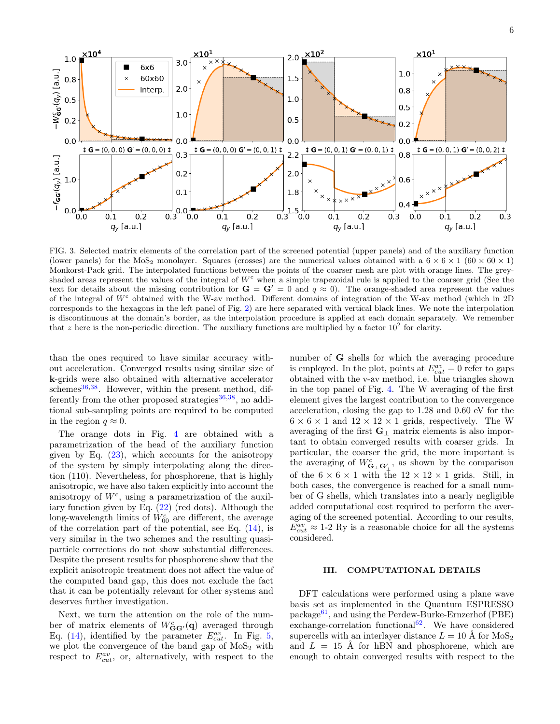

<span id="page-5-1"></span>FIG. 3. Selected matrix elements of the correlation part of the screened potential (upper panels) and of the auxiliary function (lower panels) for the MoS<sub>2</sub> monolayer. Squares (crosses) are the numerical values obtained with a  $6 \times 6 \times 1$  (60  $\times$  60  $\times$  1) Monkorst-Pack grid. The interpolated functions between the points of the coarser mesh are plot with orange lines. The greyshaded areas represent the values of the integral of  $W<sup>c</sup>$  when a simple trapezoidal rule is applied to the coarser grid (See the text for details about the missing contribution for  $G = G' = 0$  and  $q \approx 0$ ). The orange-shaded area represent the values of the integral of  $W^c$  obtained with the W-av method. Different domains of integration of the W-av method (which in 2D) corresponds to the hexagons in the left panel of Fig. [2\)](#page-3-0) are here separated with vertical black lines. We note the interpolation is discontinuous at the domain's border, as the interpolation procedure is applied at each domain separately. We remember that z here is the non-periodic direction. The auxiliary functions are multiplied by a factor  $10^2$  for clarity.

than the ones required to have similar accuracy without acceleration. Converged results using similar size of k-grids were also obtained with alternative accelerator schemes<sup>[36,](#page-8-24)[38](#page-8-25)</sup>. However, within the present method, differently from the other proposed strategies  $36,38$  $36,38$ , no additional sub-sampling points are required to be computed in the region  $q \approx 0$ .

The orange dots in Fig. [4](#page-6-1) are obtained with a parametrization of the head of the auxiliary function given by Eq. [\(23\)](#page-3-5), which accounts for the anisotropy of the system by simply interpolating along the direction (110). Nevertheless, for phosphorene, that is highly anisotropic, we have also taken explicitly into account the anisotropy of  $W<sup>c</sup>$ , using a parametrization of the auxiliary function given by Eq. [\(22\)](#page-3-6) (red dots). Although the long-wavelength limits of  $W_{00}^c$  are different, the average of the correlation part of the potential, see Eq.  $(14)$ , is very similar in the two schemes and the resulting quasiparticle corrections do not show substantial differences. Despite the present results for phosphorene show that the explicit anisotropic treatment does not affect the value of the computed band gap, this does not exclude the fact that it can be potentially relevant for other systems and deserves further investigation.

Next, we turn the attention on the role of the number of matrix elements of  $W_{\mathbf{G}\mathbf{G}'}^c(\mathbf{q})$  averaged through Eq. [\(14\)](#page-2-3), identified by the parameter  $E_{cut}^{av}$ . In Fig. [5,](#page-6-2) we plot the convergence of the band gap of  $MoS<sub>2</sub>$  with respect to  $E_{cut}^{av}$ , or, alternatively, with respect to the

number of G shells for which the averaging procedure is employed. In the plot, points at  $E_{cut}^{av} = 0$  refer to gaps obtained with the v-av method, i.e. blue triangles shown in the top panel of Fig. [4.](#page-6-1) The W averaging of the first element gives the largest contribution to the convergence acceleration, closing the gap to 1.28 and 0.60 eV for the  $6 \times 6 \times 1$  and  $12 \times 12 \times 1$  grids, respectively. The W averaging of the first  $\mathbf{G}_{\perp}$  matrix elements is also important to obtain converged results with coarser grids. In particular, the coarser the grid, the more important is the averaging of  $W_{\mathbf{G}_{\perp}\mathbf{G}'_{\perp}}^c$ , as shown by the comparison of the  $6 \times 6 \times 1$  with the  $12 \times 12 \times 1$  grids. Still, in both cases, the convergence is reached for a small number of G shells, which translates into a nearly negligible added computational cost required to perform the averaging of the screened potential. According to our results,  $E_{cut}^{av} \approx 1$ -2 Ry is a reasonable choice for all the systems considered.

# <span id="page-5-0"></span>III. COMPUTATIONAL DETAILS

DFT calculations were performed using a plane wave basis set as implemented in the Quantum ESPRESSO package<sup>[61](#page-9-4)</sup>, and using the Perdew-Burke-Ernzerhof (PBE) exchange-correlation functional<sup>[62](#page-9-5)</sup>. We have considered supercells with an interlayer distance  $L = 10 \text{ Å}$  for  $\text{MoS}_2$ and  $L = 15$  Å for hBN and phosphorene, which are enough to obtain converged results with respect to the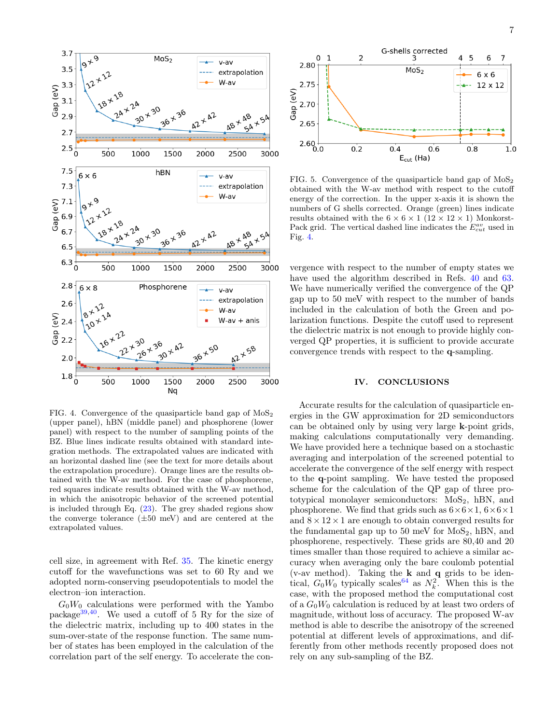

<span id="page-6-1"></span>FIG. 4. Convergence of the quasiparticle band gap of  $M_0S_2$ (upper panel), hBN (middle panel) and phosphorene (lower panel) with respect to the number of sampling points of the BZ. Blue lines indicate results obtained with standard integration methods. The extrapolated values are indicated with an horizontal dashed line (see the text for more details about the extrapolation procedure). Orange lines are the results obtained with the W-av method. For the case of phosphorene, red squares indicate results obtained with the W-av method, in which the anisotropic behavior of the screened potential is included through Eq. [\(23\)](#page-3-5). The grey shaded regions show the converge tolerance  $(\pm 50 \text{ meV})$  and are centered at the extrapolated values.

cell size, in agreement with Ref. [35.](#page-8-23) The kinetic energy cutoff for the wavefunctions was set to 60 Ry and we adopted norm-conserving pseudopotentials to model the electron–ion interaction.

 $G_0W_0$  calculations were performed with the Yambo package<sup>[39,](#page-8-26)[40](#page-8-27)</sup>. We used a cutoff of 5 Ry for the size of the dielectric matrix, including up to 400 states in the sum-over-state of the response function. The same number of states has been employed in the calculation of the correlation part of the self energy. To accelerate the con-



<span id="page-6-2"></span>FIG. 5. Convergence of the quasiparticle band gap of  $MoS<sub>2</sub>$ obtained with the W-av method with respect to the cutoff energy of the correction. In the upper x-axis it is shown the numbers of G shells corrected. Orange (green) lines indicate results obtained with the  $6 \times 6 \times 1$  ( $12 \times 12 \times 1$ ) Monkorst-Pack grid. The vertical dashed line indicates the  $E_{cut}^{av}$  used in Fig. [4.](#page-6-1)

vergence with respect to the number of empty states we have used the algorithm described in Refs. [40](#page-8-27) and [63.](#page-9-6) We have numerically verified the convergence of the QP gap up to 50 meV with respect to the number of bands included in the calculation of both the Green and polarization functions. Despite the cutoff used to represent the dielectric matrix is not enough to provide highly converged QP properties, it is sufficient to provide accurate convergence trends with respect to the q-sampling.

## <span id="page-6-0"></span>IV. CONCLUSIONS

Accurate results for the calculation of quasiparticle energies in the GW approximation for 2D semiconductors can be obtained only by using very large k-point grids, making calculations computationally very demanding. We have provided here a technique based on a stochastic averaging and interpolation of the screened potential to accelerate the convergence of the self energy with respect to the q-point sampling. We have tested the proposed scheme for the calculation of the QP gap of three prototypical monolayer semiconductors:  $MoS<sub>2</sub>$ , hBN, and phosphorene. We find that grids such as  $6\times6\times1$ ,  $6\times6\times1$ and  $8 \times 12 \times 1$  are enough to obtain converged results for the fundamental gap up to 50 meV for  $MoS<sub>2</sub>$ , hBN, and phosphorene, respectively. These grids are 80,40 and 20 times smaller than those required to achieve a similar accuracy when averaging only the bare coulomb potential (v-av method). Taking the  $k$  and  $q$  grids to be identical,  $G_0W_0$  typically scales<sup>[64](#page-9-7)</sup> as  $N_k^2$ . When this is the case, with the proposed method the computational cost of a  $G_0W_0$  calculation is reduced by at least two orders of magnitude, without loss of accuracy. The proposed W-av method is able to describe the anisotropy of the screened potential at different levels of approximations, and differently from other methods recently proposed does not rely on any sub-sampling of the BZ.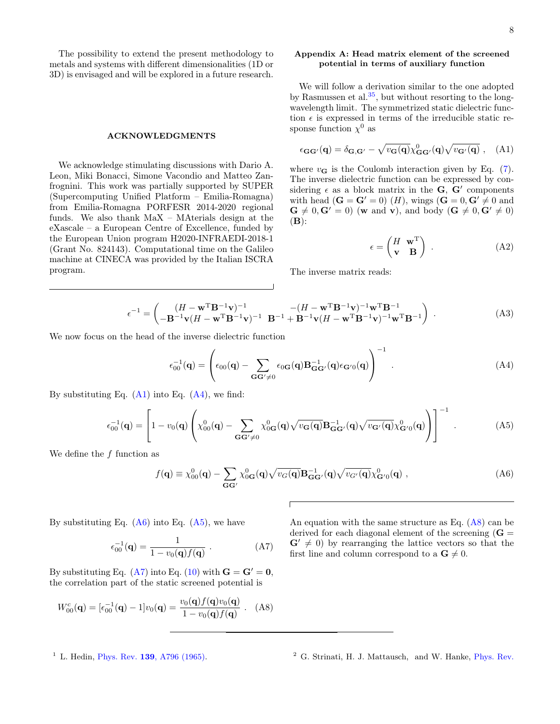The possibility to extend the present methodology to metals and systems with different dimensionalities (1D or 3D) is envisaged and will be explored in a future research.

### ACKNOWLEDGMENTS

We acknowledge stimulating discussions with Dario A. Leon, Miki Bonacci, Simone Vacondio and Matteo Zanfrognini. This work was partially supported by SUPER (Supercomputing Unified Platform – Emilia-Romagna) from Emilia-Romagna PORFESR 2014-2020 regional funds. We also thank MaX – MAterials design at the eXascale – a European Centre of Excellence, funded by the European Union program H2020-INFRAEDI-2018-1 (Grant No. 824143). Computational time on the Galileo machine at CINECA was provided by the Italian ISCRA program.

# <span id="page-7-1"></span>Appendix A: Head matrix element of the screened potential in terms of auxiliary function

We will follow a derivation similar to the one adopted by Rasmussen et al. $35$ , but without resorting to the longwavelength limit. The symmetrized static dielectric function  $\epsilon$  is expressed in terms of the irreducible static response function  $\chi^0$  as

<span id="page-7-3"></span>
$$
\epsilon_{\mathbf{G}\mathbf{G}'}(\mathbf{q}) = \delta_{\mathbf{G},\mathbf{G}'} - \sqrt{v_{\mathbf{G}}(\mathbf{q})} \chi_{\mathbf{G}\mathbf{G}'}^0(\mathbf{q}) \sqrt{v_{\mathbf{G}'}(\mathbf{q})} , \quad (A1)
$$

where  $v_{\mathbf{G}}$  is the Coulomb interaction given by Eq. [\(7\)](#page-2-5). The inverse dielectric function can be expressed by considering  $\epsilon$  as a block matrix in the **G**, **G**<sup> $\prime$ </sup> components with head  $(\mathbf{G} = \mathbf{G}' = 0)$   $(H)$ , wings  $(\mathbf{G} = 0, \mathbf{G}' \neq 0)$  and  $\mathbf{G} \neq 0, \mathbf{G}' = 0$  (w and v), and body ( $\mathbf{G} \neq 0, \mathbf{G}' \neq 0$ )  $(B)$ :

$$
\epsilon = \begin{pmatrix} H & \mathbf{w}^{\mathrm{T}} \\ \mathbf{v} & \mathbf{B} \end{pmatrix} . \tag{A2}
$$

The inverse matrix reads:

$$
\epsilon^{-1} = \begin{pmatrix} (H - \mathbf{w}^{\mathrm{T}} \mathbf{B}^{-1} \mathbf{v})^{-1} & -(H - \mathbf{w}^{\mathrm{T}} \mathbf{B}^{-1} \mathbf{v})^{-1} \mathbf{w}^{\mathrm{T}} \mathbf{B}^{-1} \\ -\mathbf{B}^{-1} \mathbf{v} (H - \mathbf{w}^{\mathrm{T}} \mathbf{B}^{-1} \mathbf{v})^{-1} & \mathbf{B}^{-1} + \mathbf{B}^{-1} \mathbf{v} (H - \mathbf{w}^{\mathrm{T}} \mathbf{B}^{-1} \mathbf{v})^{-1} \mathbf{w}^{\mathrm{T}} \mathbf{B}^{-1} \end{pmatrix} .
$$
 (A3)

We now focus on the head of the inverse dielectric function

<span id="page-7-4"></span>
$$
\epsilon_{00}^{-1}(\mathbf{q}) = \left(\epsilon_{00}(\mathbf{q}) - \sum_{\mathbf{G}\mathbf{G}' \neq 0} \epsilon_{0\mathbf{G}}(\mathbf{q}) \mathbf{B}_{\mathbf{G}\mathbf{G}'}^{-1}(\mathbf{q}) \epsilon_{\mathbf{G}'0}(\mathbf{q})\right)^{-1} . \tag{A4}
$$

By substituting Eq.  $(A1)$  into Eq.  $(A4)$ , we find:

<span id="page-7-5"></span>
$$
\epsilon_{00}^{-1}(\mathbf{q}) = \left[1 - v_0(\mathbf{q}) \left(\chi_{00}^0(\mathbf{q}) - \sum_{\mathbf{G}\mathbf{G}' \neq 0} \chi_{0\mathbf{G}}^0(\mathbf{q}) \sqrt{v_{\mathbf{G}}(\mathbf{q})} \mathbf{B}_{\mathbf{G}\mathbf{G}'}^{-1}(\mathbf{q}) \sqrt{v_{\mathbf{G}'}(\mathbf{q})} \chi_{\mathbf{G}'0}^0(\mathbf{q})\right)\right]^{-1}.
$$
 (A5)

We define the  $f$  function as

<span id="page-7-2"></span>
$$
f(\mathbf{q}) \equiv \chi_{00}^{0}(\mathbf{q}) - \sum_{\mathbf{G}\mathbf{G}'} \chi_{0\mathbf{G}}^{0}(\mathbf{q}) \sqrt{v_{G}(\mathbf{q})} \mathbf{B}_{\mathbf{G}\mathbf{G}'}^{-1}(\mathbf{q}) \sqrt{v_{G'}(\mathbf{q})} \chi_{\mathbf{G}'0}^{0}(\mathbf{q}) ,
$$
 (A6)

By substituting Eq.  $(A6)$  into Eq.  $(A5)$ , we have

<span id="page-7-6"></span>
$$
\epsilon_{00}^{-1}(\mathbf{q}) = \frac{1}{1 - v_0(\mathbf{q})f(\mathbf{q})} .
$$
 (A7)

By substituting Eq. [\(A7\)](#page-7-6) into Eq. [\(10\)](#page-2-6) with  $\mathbf{G} = \mathbf{G}' = \mathbf{0}$ , the correlation part of the static screened potential is

<span id="page-7-7"></span>
$$
W_{00}^{c}(\mathbf{q}) = [\epsilon_{00}^{-1}(\mathbf{q}) - 1]v_0(\mathbf{q}) = \frac{v_0(\mathbf{q})f(\mathbf{q})v_0(\mathbf{q})}{1 - v_0(\mathbf{q})f(\mathbf{q})} .
$$
 (A8)

An equation with the same structure as Eq.  $(A8)$  can be derived for each diagonal element of the screening  $(G =$  $G' \neq 0$ ) by rearranging the lattice vectors so that the first line and column correspond to a  $\mathbf{G} \neq 0$ .

<span id="page-7-0"></span><sup>&</sup>lt;sup>1</sup> L. Hedin, Phys. Rev. **139**[, A796 \(1965\).](http://dx.doi.org/10.1103/PhysRev.139.A796)

<sup>2</sup> G. Strinati, H. J. Mattausch, and W. Hanke, [Phys. Rev.](http://dx.doi.org/10.1103/PhysRevB.25.2867)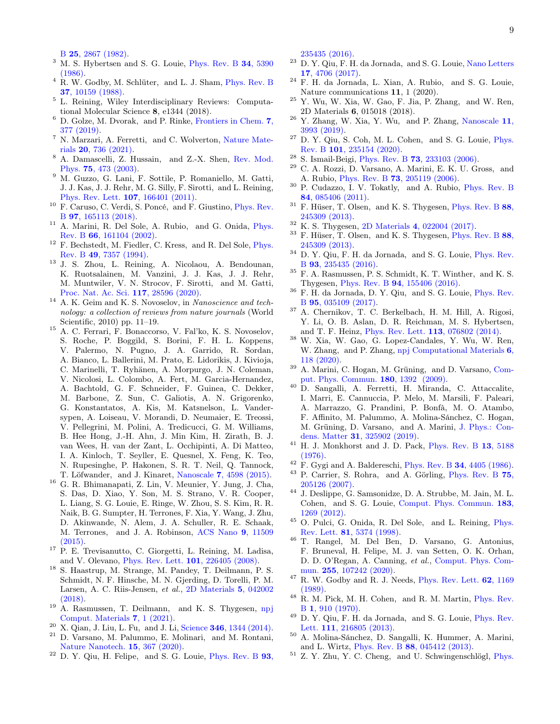B 25[, 2867 \(1982\).](http://dx.doi.org/10.1103/PhysRevB.25.2867)

- <sup>3</sup> M. S. Hybertsen and S. G. Louie, [Phys. Rev. B](http://dx.doi.org/10.1103/PhysRevB.34.5390) 34, 5390 [\(1986\).](http://dx.doi.org/10.1103/PhysRevB.34.5390)
- <span id="page-8-0"></span> $^4$  R. W. Godby, M. Schlüter, and L. J. Sham, [Phys. Rev. B](http://dx.doi.org/10.1103/PhysRevB.37.10159) 37[, 10159 \(1988\).](http://dx.doi.org/10.1103/PhysRevB.37.10159)
- <span id="page-8-1"></span><sup>5</sup> L. Reining, Wiley Interdisciplinary Reviews: Computational Molecular Science 8, e1344 (2018).
- <span id="page-8-9"></span><sup>6</sup> D. Golze, M. Dvorak, and P. Rinke, [Frontiers in Chem.](http://dx.doi.org/10.3389/fchem.2019.00377) 7, [377 \(2019\).](http://dx.doi.org/10.3389/fchem.2019.00377)
- <span id="page-8-2"></span><sup>7</sup> N. Marzari, A. Ferretti, and C. Wolverton, [Nature Mate](http://dx.doi.org/10.1038/s41563-021-01013-3)rials 20[, 736 \(2021\).](http://dx.doi.org/10.1038/s41563-021-01013-3)
- <span id="page-8-3"></span><sup>8</sup> A. Damascelli, Z. Hussain, and Z.-X. Shen, [Rev. Mod.](http://dx.doi.org/https://doi.org/10.1103/RevModPhys.75.473) Phys. 75[, 473 \(2003\).](http://dx.doi.org/https://doi.org/10.1103/RevModPhys.75.473)
- <span id="page-8-4"></span><sup>9</sup> M. Guzzo, G. Lani, F. Sottile, P. Romaniello, M. Gatti, J. J. Kas, J. J. Rehr, M. G. Silly, F. Sirotti, and L. Reining, [Phys. Rev. Lett.](http://dx.doi.org/https://doi.org/10.1103/PhysRevLett.107.166401) 107, 166401 (2011).
- <span id="page-8-5"></span><sup>10</sup> F. Caruso, C. Verdi, S. Poncé, and F. Giustino, [Phys. Rev.](http://dx.doi.org/https://doi.org/10.1103/PhysRevB.97.165113) B 97[, 165113 \(2018\).](http://dx.doi.org/https://doi.org/10.1103/PhysRevB.97.165113)
- <span id="page-8-6"></span><sup>11</sup> A. Marini, R. Del Sole, A. Rubio, and G. Onida, [Phys.](http://dx.doi.org/ https://doi.org/10.1103/PhysRevB.66.161104) Rev. B 66[, 161104 \(2002\).](http://dx.doi.org/ https://doi.org/10.1103/PhysRevB.66.161104)
- <span id="page-8-7"></span> $^{12}\,$  F. Bechstedt, M. Fiedler, C. Kress,  $% ^{12}\,$  and R. Del Sole, [Phys.](http://dx.doi.org/ https://doi.org/10.1103/PhysRevB.49.7357) Rev. B 49[, 7357 \(1994\).](http://dx.doi.org/ https://doi.org/10.1103/PhysRevB.49.7357)
- <span id="page-8-8"></span><sup>13</sup> J. S. Zhou, L. Reining, A. Nicolaou, A. Bendounan, K. Ruotsalainen, M. Vanzini, J. J. Kas, J. J. Rehr, M. Muntwiler, V. N. Strocov, F. Sirotti, and M. Gatti, [Proc. Nat. Ac. Sci.](http://dx.doi.org/https://doi.org/10.1073/pnas.2012625117) 117, 28596 (2020).
- <span id="page-8-10"></span> $^{14}\,$  A. K. Geim and K. S. Novoselov, in Nanoscience and technology: a collection of reviews from nature journals (World Scientific, 2010) pp. 11–19.
- <span id="page-8-11"></span> $^{15}$  A. C. Ferrari, F. Bonaccorso, V. Fal'ko, K. S. Novoselov, S. Roche, P. Boggild, S. Borini, F. H. L. Koppens, V. Palermo, N. Pugno, J. A. Garrido, R. Sordan, A. Bianco, L. Ballerini, M. Prato, E. Lidorikis, J. Kivioja, C. Marinelli, T. Ryhänen, A. Morpurgo, J. N. Coleman, V. Nicolosi, L. Colombo, A. Fert, M. Garcia-Hernandez, A. Bachtold, G. F. Schneider, F. Guinea, C. Dekker, M. Barbone, Z. Sun, C. Galiotis, A. N. Grigorenko, G. Konstantatos, A. Kis, M. Katsnelson, L. Vandersypen, A. Loiseau, V. Morandi, D. Neumaier, E. Treossi, V. Pellegrini, M. Polini, A. Tredicucci, G. M. Williams, B. Hee Hong, J.-H. Ahn, J. Min Kim, H. Zirath, B. J. van Wees, H. van der Zant, L. Occhipinti, A. Di Matteo, I. A. Kinloch, T. Seyller, E. Quesnel, X. Feng, K. Teo, N. Rupesinghe, P. Hakonen, S. R. T. Neil, Q. Tannock, T. Löfwander, and J. Kinaret, Nanoscale 7[, 4598 \(2015\).](http://dx.doi.org/10.1039/C4NR01600A)
- <span id="page-8-12"></span><sup>16</sup> G. R. Bhimanapati, Z. Lin, V. Meunier, Y. Jung, J. Cha, S. Das, D. Xiao, Y. Son, M. S. Strano, V. R. Cooper, L. Liang, S. G. Louie, E. Ringe, W. Zhou, S. S. Kim, R. R. Naik, B. G. Sumpter, H. Terrones, F. Xia, Y. Wang, J. Zhu, D. Akinwande, N. Alem, J. A. Schuller, R. E. Schaak, M. Terrones, and J. A. Robinson, [ACS Nano](http://dx.doi.org/ 10.1021/acsnano.5b05556) 9, 11509 [\(2015\).](http://dx.doi.org/ 10.1021/acsnano.5b05556)
- <span id="page-8-13"></span><sup>17</sup> P. E. Trevisanutto, C. Giorgetti, L. Reining, M. Ladisa, and V. Olevano, [Phys. Rev. Lett.](http://dx.doi.org/ 10.1103/PhysRevLett.101.226405) 101, 226405 (2008).
- <sup>18</sup> S. Haastrup, M. Strange, M. Pandey, T. Deilmann, P. S. Schmidt, N. F. Hinsche, M. N. Gjerding, D. Torelli, P. M. Larsen, A. C. Riis-Jensen, et al., [2D Materials](http://dx.doi.org/ 10.1088/2053-1583/aacfc1) 5, 042002 [\(2018\).](http://dx.doi.org/ 10.1088/2053-1583/aacfc1)
- <sup>19</sup> A. Rasmussen, T. Deilmann, and K. S. Thygesen, [npj](http://dx.doi.org/10.1038/s41524-020-00480-7) [Comput. Materials](http://dx.doi.org/10.1038/s41524-020-00480-7) 7, 1 (2021).
- $20\,$  X. Qian, J. Liu, L. Fu, and J. Li, Science 346[, 1344 \(2014\).](http://dx.doi.org/ 10.1126/science.1256815)
- <sup>21</sup> D. Varsano, M. Palummo, E. Molinari, and M. Rontani, [Nature Nanotech.](http://dx.doi.org/10.1038/s41565-020-0650-4) 15, 367 (2020).
- <span id="page-8-19"></span><sup>22</sup> D. Y. Qiu, H. Felipe, and S. G. Louie, [Phys. Rev. B](http://dx.doi.org/10.1103/PhysRevB.93.235435) 93,

[235435 \(2016\).](http://dx.doi.org/10.1103/PhysRevB.93.235435)

- <span id="page-8-38"></span><sup>23</sup> D. Y. Qiu, F. H. da Jornada, and S. G. Louie, [Nano Letters](http://dx.doi.org/10.1021/acs.nanolett.7b01365) 17[, 4706 \(2017\).](http://dx.doi.org/10.1021/acs.nanolett.7b01365)
- <sup>24</sup> F. H. da Jornada, L. Xian, A. Rubio, and S. G. Louie, Nature communications 11, 1 (2020).
- $25$  Y. Wu, W. Xia, W. Gao, F. Jia, P. Zhang, and W. Ren, 2D Materials 6, 015018 (2018).
- $26$  Y. Zhang, W. Xia, Y. Wu, and P. Zhang, [Nanoscale](http://dx.doi.org/ 10.1039/C9NR01160A) 11, [3993 \(2019\).](http://dx.doi.org/ 10.1039/C9NR01160A)
- <span id="page-8-14"></span> $27$  D. Y. Qiu, S. Coh, M. L. Cohen, and S. G. Louie, [Phys.](http://dx.doi.org/ 10.1103/PhysRevB.101.235154) Rev. B 101[, 235154 \(2020\).](http://dx.doi.org/ 10.1103/PhysRevB.101.235154)
- <span id="page-8-15"></span><sup>28</sup> S. Ismail-Beigi, Phys. Rev. B **73**[, 233103 \(2006\).](http://dx.doi.org/10.1103/PhysRevB.73.233103)
- <span id="page-8-16"></span>C. A. Rozzi, D. Varsano, A. Marini, E. K. U. Gross, and A. Rubio, Phys. Rev. B 73[, 205119 \(2006\).](http://dx.doi.org/ 10.1103/PhysRevB.73.205119)
- <span id="page-8-17"></span><sup>30</sup> P. Cudazzo, I. V. Tokatly, and A. Rubio, [Phys. Rev. B](http://dx.doi.org/10.1103/PhysRevB.84.085406) 84[, 085406 \(2011\).](http://dx.doi.org/10.1103/PhysRevB.84.085406)
- <span id="page-8-18"></span><sup>31</sup> F. Hüser, T. Olsen, and K. S. Thygesen, [Phys. Rev. B](http://dx.doi.org/10.1103/PhysRevB.88.245309) 88, [245309 \(2013\).](http://dx.doi.org/10.1103/PhysRevB.88.245309)
- <span id="page-8-20"></span><sup>32</sup> K. S. Thygesen, 2D Materials 4[, 022004 \(2017\).](http://dx.doi.org/10.1088/2053-1583/aa6432)
- <span id="page-8-21"></span><sup>33</sup> F. Hüser, T. Olsen, and K. S. Thygesen, [Phys. Rev. B](http://dx.doi.org/10.1103/PhysRevB.88.245309) 88, [245309 \(2013\).](http://dx.doi.org/10.1103/PhysRevB.88.245309)
- <span id="page-8-34"></span> $^{34}$  D. Y. Qiu, F. H. da Jornada,  $% ^{34}$  and S. G. Louie, [Phys. Rev.](http://dx.doi.org/10.1103/PhysRevB.93.235435) B 93[, 235435 \(2016\).](http://dx.doi.org/10.1103/PhysRevB.93.235435)
- <span id="page-8-23"></span> $35$  F. A. Rasmussen, P. S. Schmidt, K. T. Winther, and K. S. Thygesen, Phys. Rev. B 94[, 155406 \(2016\).](http://dx.doi.org/10.1103/PhysRevB.94.155406)
- <span id="page-8-24"></span> $36$  F. H. da Jornada, D. Y. Qiu, and S. G. Louie, [Phys. Rev.](http://dx.doi.org/10.1103/PhysRevB.95.035109) B 95[, 035109 \(2017\).](http://dx.doi.org/10.1103/PhysRevB.95.035109)
- <span id="page-8-22"></span><sup>37</sup> A. Chernikov, T. C. Berkelbach, H. M. Hill, A. Rigosi, Y. Li, O. B. Aslan, D. R. Reichman, M. S. Hybertsen, and T. F. Heinz, [Phys. Rev. Lett.](http://dx.doi.org/ 10.1103/PhysRevLett.113.076802) 113, 076802 (2014).
- <span id="page-8-25"></span><sup>38</sup> W. Xia, W. Gao, G. Lopez-Candales, Y. Wu, W. Ren, W. Zhang, and P. Zhang, [npj Computational Materials](http://dx.doi.org/10.1038/s41524-020-00385-5) 6, [118 \(2020\).](http://dx.doi.org/10.1038/s41524-020-00385-5)
- <span id="page-8-26"></span><sup>39</sup> A. Marini, C. Hogan, M. Grüning, and D. Varsano, [Com](http://dx.doi.org/https://doi.org/10.1016/j.cpc.2009.02.003)[put. Phys. Commun.](http://dx.doi.org/https://doi.org/10.1016/j.cpc.2009.02.003) 180, 1392 (2009).
- <span id="page-8-27"></span><sup>40</sup> D. Sangalli, A. Ferretti, H. Miranda, C. Attaccalite, I. Marri, E. Cannuccia, P. Melo, M. Marsili, F. Paleari, A. Marrazzo, G. Prandini, P. Bonfà, M. O. Atambo, F. Affinito, M. Palummo, A. Molina-Sánchez, C. Hogan, M. Grüning, D. Varsano, and A. Marini, [J. Phys.: Con](http://dx.doi.org/10.1088/1361-648x/ab15d0)dens. Matter 31[, 325902 \(2019\).](http://dx.doi.org/10.1088/1361-648x/ab15d0)
- <span id="page-8-28"></span> $41$  H. J. Monkhorst and J. D. Pack, [Phys. Rev. B](http://dx.doi.org/10.1103/PhysRevB.13.5188) 13, 5188 [\(1976\).](http://dx.doi.org/10.1103/PhysRevB.13.5188)
- <span id="page-8-29"></span> $42$  F. Gygi and A. Baldereschi, Phys. Rev. B 34[, 4405 \(1986\).](http://dx.doi.org/10.1103/PhysRevB.34.4405)
- <sup>43</sup> P. Carrier, S. Rohra, and A. Görling, [Phys. Rev. B](http://dx.doi.org/10.1103/PhysRevB.75.205126) 75, [205126 \(2007\).](http://dx.doi.org/10.1103/PhysRevB.75.205126)
- <sup>44</sup> J. Deslippe, G. Samsonidze, D. A. Strubbe, M. Jain, M. L. Cohen, and S. G. Louie, [Comput. Phys. Commun.](http://dx.doi.org/10.1016/j.cpc.2011.12.006) 183, [1269 \(2012\).](http://dx.doi.org/10.1016/j.cpc.2011.12.006)
- <span id="page-8-30"></span><sup>45</sup> O. Pulci, G. Onida, R. Del Sole, and L. Reining, [Phys.](http://dx.doi.org/10.1103/PhysRevLett.81.5374) Rev. Lett. 81[, 5374 \(1998\).](http://dx.doi.org/10.1103/PhysRevLett.81.5374)
- <span id="page-8-31"></span><sup>46</sup> T. Rangel, M. Del Ben, D. Varsano, G. Antonius, F. Bruneval, H. Felipe, M. J. van Setten, O. K. Orhan, D. D. O'Regan, A. Canning, et al., [Comput. Phys. Com](http://dx.doi.org/10.1016/j.cpc.2020.107242)mun. 255[, 107242 \(2020\).](http://dx.doi.org/10.1016/j.cpc.2020.107242)
- <span id="page-8-32"></span> $^{47}$  R. W. Godby and R. J. Needs, [Phys. Rev. Lett.](http://dx.doi.org/10.1103/PhysRevLett.62.1169)  $62$ , 1169 [\(1989\).](http://dx.doi.org/10.1103/PhysRevLett.62.1169)
- <span id="page-8-33"></span><sup>48</sup> R. M. Pick, M. H. Cohen, and R. M. Martin, [Phys. Rev.](http://dx.doi.org/10.1103/PhysRevB.1.910) B 1[, 910 \(1970\).](http://dx.doi.org/10.1103/PhysRevB.1.910)
- <span id="page-8-35"></span><sup>49</sup> D. Y. Qiu, F. H. da Jornada, and S. G. Louie, [Phys. Rev.](http://dx.doi.org/10.1103/PhysRevLett.111.216805) Lett. 111[, 216805 \(2013\).](http://dx.doi.org/10.1103/PhysRevLett.111.216805)
- <span id="page-8-36"></span><sup>50</sup> A. Molina-Sánchez, D. Sangalli, K. Hummer, A. Marini, and L. Wirtz, Phys. Rev. B 88[, 045412 \(2013\).](http://dx.doi.org/ 10.1103/PhysRevB.88.045412)
- <span id="page-8-37"></span><sup>51</sup> Z. Y. Zhu, Y. C. Cheng, and U. Schwingenschlögl, [Phys.](http://dx.doi.org/10.1103/PhysRevB.84.153402)